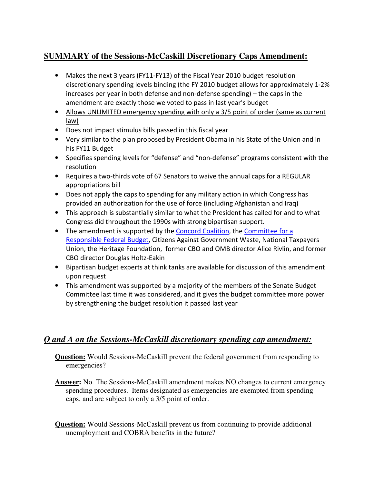## **SUMMARY of the Sessions-McCaskill Discretionary Caps Amendment:**

- Makes the next 3 years (FY11-FY13) of the Fiscal Year 2010 budget resolution discretionary spending levels binding (the FY 2010 budget allows for approximately 1-2% increases per year in both defense and non-defense spending) – the caps in the amendment are exactly those we voted to pass in last year's budget
- Allows UNLIMITED emergency spending with only a 3/5 point of order (same as current law)
- Does not impact stimulus bills passed in this fiscal year
- Very similar to the plan proposed by President Obama in his State of the Union and in his FY11 Budget
- Specifies spending levels for "defense" and "non-defense" programs consistent with the resolution
- Requires a two-thirds vote of 67 Senators to waive the annual caps for a REGULAR appropriations bill
- Does not apply the caps to spending for any military action in which Congress has provided an authorization for the use of force (including Afghanistan and Iraq)
- This approach is substantially similar to what the President has called for and to what Congress did throughout the 1990s with strong bipartisan support.
- The amendment is supported by the Concord Coalition, the Committee for a Responsible Federal Budget, Citizens Against Government Waste, National Taxpayers Union, the Heritage Foundation, former CBO and OMB director Alice Rivlin, and former CBO director Douglas Holtz-Eakin
- Bipartisan budget experts at think tanks are available for discussion of this amendment upon request
- This amendment was supported by a majority of the members of the Senate Budget Committee last time it was considered, and it gives the budget committee more power by strengthening the budget resolution it passed last year

## *Q and A on the Sessions-McCaskill discretionary spending cap amendment:*

**Question:** Would Sessions-McCaskill prevent the federal government from responding to emergencies?

- **Answer:** No. The Sessions-McCaskill amendment makes NO changes to current emergency spending procedures. Items designated as emergencies are exempted from spending caps, and are subject to only a 3/5 point of order.
- **Question:** Would Sessions-McCaskill prevent us from continuing to provide additional unemployment and COBRA benefits in the future?